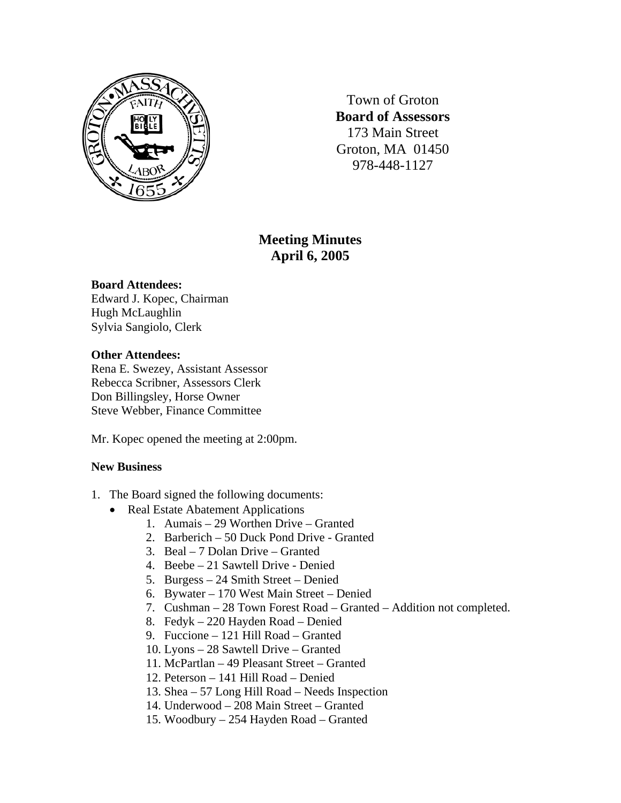

Town of Groton **Board of Assessors**  173 Main Street Groton, MA 01450 978-448-1127

# **Meeting Minutes April 6, 2005**

### **Board Attendees:**

Edward J. Kopec, Chairman Hugh McLaughlin Sylvia Sangiolo, Clerk

### **Other Attendees:**

Rena E. Swezey, Assistant Assessor Rebecca Scribner, Assessors Clerk Don Billingsley, Horse Owner Steve Webber, Finance Committee

Mr. Kopec opened the meeting at 2:00pm.

## **New Business**

- 1. The Board signed the following documents:
	- Real Estate Abatement Applications
		- 1. Aumais 29 Worthen Drive Granted
		- 2. Barberich 50 Duck Pond Drive Granted
		- 3. Beal 7 Dolan Drive Granted
		- 4. Beebe 21 Sawtell Drive Denied
		- 5. Burgess 24 Smith Street Denied
		- 6. Bywater 170 West Main Street Denied
		- 7. Cushman 28 Town Forest Road Granted Addition not completed.
		- 8. Fedyk 220 Hayden Road Denied
		- 9. Fuccione 121 Hill Road Granted
		- 10. Lyons 28 Sawtell Drive Granted
		- 11. McPartlan 49 Pleasant Street Granted
		- 12. Peterson 141 Hill Road Denied
		- 13. Shea 57 Long Hill Road Needs Inspection
		- 14. Underwood 208 Main Street Granted
		- 15. Woodbury 254 Hayden Road Granted